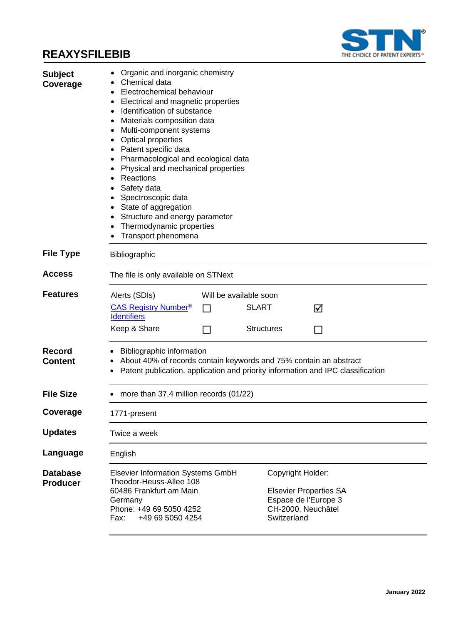

| <b>Subject</b><br>Coverage  | Organic and inorganic chemistry<br>Chemical data<br>Electrochemical behaviour<br>٠<br>Electrical and magnetic properties<br>٠<br>Identification of substance<br>٠<br>Materials composition data<br>Multi-component systems<br>٠<br><b>Optical properties</b><br>Patent specific data<br>Pharmacological and ecological data<br>٠<br>Physical and mechanical properties<br>Reactions<br>Safety data<br>Spectroscopic data<br>State of aggregation<br>Structure and energy parameter<br>Thermodynamic properties<br>Transport phenomena |  |  |  |  |
|-----------------------------|---------------------------------------------------------------------------------------------------------------------------------------------------------------------------------------------------------------------------------------------------------------------------------------------------------------------------------------------------------------------------------------------------------------------------------------------------------------------------------------------------------------------------------------|--|--|--|--|
| <b>File Type</b>            | Bibliographic                                                                                                                                                                                                                                                                                                                                                                                                                                                                                                                         |  |  |  |  |
| Access                      | The file is only available on STNext                                                                                                                                                                                                                                                                                                                                                                                                                                                                                                  |  |  |  |  |
| <b>Features</b>             | Will be available soon<br>Alerts (SDIs)<br><b>SLART</b><br><b>CAS Registry Number<sup>®</sup></b><br>$\Box$<br>☑<br><b>Identifiers</b><br>Keep & Share<br><b>Structures</b><br>$\mathcal{L}$                                                                                                                                                                                                                                                                                                                                          |  |  |  |  |
| Record<br>Content           | Bibliographic information<br>About 40% of records contain keywords and 75% contain an abstract<br>Patent publication, application and priority information and IPC classification                                                                                                                                                                                                                                                                                                                                                     |  |  |  |  |
| <b>File Size</b>            | more than 37,4 million records (01/22)                                                                                                                                                                                                                                                                                                                                                                                                                                                                                                |  |  |  |  |
| Coverage                    | 1771-present                                                                                                                                                                                                                                                                                                                                                                                                                                                                                                                          |  |  |  |  |
| <b>Updates</b>              | Twice a week                                                                                                                                                                                                                                                                                                                                                                                                                                                                                                                          |  |  |  |  |
| Language                    | English                                                                                                                                                                                                                                                                                                                                                                                                                                                                                                                               |  |  |  |  |
| Database<br><b>Producer</b> | Elsevier Information Systems GmbH<br>Copyright Holder:<br>Theodor-Heuss-Allee 108<br>60486 Frankfurt am Main<br><b>Elsevier Properties SA</b><br>Espace de l'Europe 3<br>Germany<br>Phone: +49 69 5050 4252<br>CH-2000, Neuchâtel<br>Switzerland<br>Fax:<br>+49 69 5050 4254                                                                                                                                                                                                                                                          |  |  |  |  |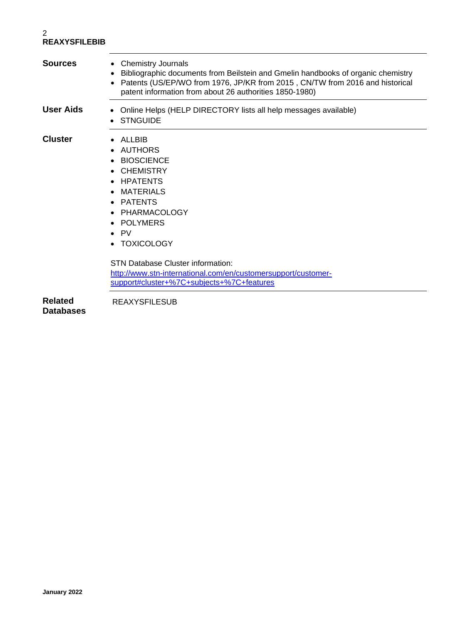| <b>Sources</b>   | <b>Chemistry Journals</b><br>$\bullet$<br>Bibliographic documents from Beilstein and Gmelin handbooks of organic chemistry<br>Patents (US/EP/WO from 1976, JP/KR from 2015, CN/TW from 2016 and historical<br>patent information from about 26 authorities 1850-1980)                                                                   |  |  |  |  |
|------------------|-----------------------------------------------------------------------------------------------------------------------------------------------------------------------------------------------------------------------------------------------------------------------------------------------------------------------------------------|--|--|--|--|
| <b>User Aids</b> | Online Helps (HELP DIRECTORY lists all help messages available)<br><b>STNGUIDE</b>                                                                                                                                                                                                                                                      |  |  |  |  |
| <b>Cluster</b>   | ALLBIB<br><b>AUTHORS</b><br><b>BIOSCIENCE</b><br><b>CHEMISTRY</b><br><b>HPATENTS</b><br>$\bullet$<br><b>MATERIALS</b><br>$\bullet$<br>• PATENTS<br>PHARMACOLOGY<br>$\bullet$<br>• POLYMERS<br>$\bullet$ PV<br>• TOXICOLOGY<br><b>STN Database Cluster information:</b><br>http://www.stn-international.com/en/customersupport/customer- |  |  |  |  |
|                  | support#cluster+%7C+subjects+%7C+features                                                                                                                                                                                                                                                                                               |  |  |  |  |
| <b>Related</b>   | <b>REAXYSFILESUB</b>                                                                                                                                                                                                                                                                                                                    |  |  |  |  |

**Databases**

REAXYSFILESUB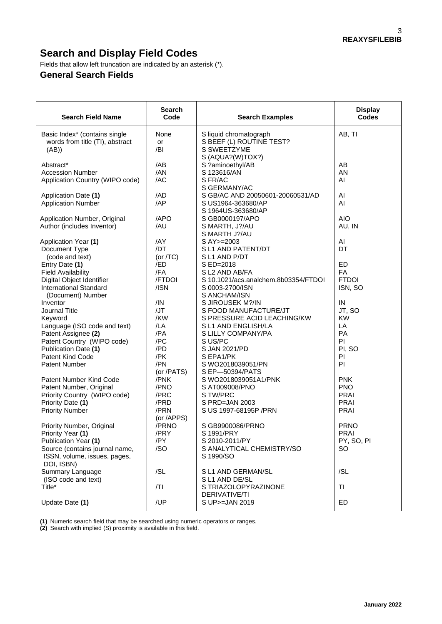# **Search and Display Field Codes**

Fields that allow left truncation are indicated by an asterisk (\*).

#### **General Search Fields**

| <b>Search Field Name</b>                               | <b>Search</b><br>Code | <b>Search Examples</b>                                 | <b>Display</b><br><b>Codes</b> |
|--------------------------------------------------------|-----------------------|--------------------------------------------------------|--------------------------------|
| Basic Index* (contains single                          | None                  | S liquid chromatograph                                 | AB, TI                         |
| words from title (TI), abstract                        | or                    | S BEEF (L) ROUTINE TEST?                               |                                |
| (AB)                                                   | /BI                   | S SWEETZYME                                            |                                |
|                                                        |                       | S (AQUA?(W)TOX?)                                       |                                |
| Abstract*                                              | /AB                   | S ?aminoethyl/AB                                       | AB                             |
| <b>Accession Number</b>                                | /AN                   | S 123616/AN                                            | AN                             |
| Application Country (WIPO code)                        | /AC                   | S FR/AC                                                | AI                             |
|                                                        |                       | S GERMANY/AC                                           |                                |
| Application Date (1)                                   | /AD                   | S GB/AC AND 20050601-20060531/AD                       | Al                             |
| <b>Application Number</b>                              | /AP                   | S US1964-363680/AP                                     | Al                             |
|                                                        |                       | S 1964US-363680/AP                                     |                                |
| Application Number, Original                           | /APO                  | S GB0000197/APO                                        | <b>AIO</b>                     |
| Author (includes Inventor)                             | /AU                   | S MARTH, J?/AU                                         | AU, IN                         |
|                                                        |                       | S MARTH J?/AU                                          |                                |
| Application Year (1)                                   | /AY                   | S AY >= 2003                                           | AI                             |
| Document Type                                          | /DT                   | S L1 AND PATENT/DT                                     | DT                             |
| (code and text)                                        | (or $/TC$ )           | S L1 AND P/DT                                          |                                |
| Entry Date (1)                                         | /ED                   | S ED=2018                                              | <b>ED</b>                      |
| <b>Field Availability</b><br>Digital Object Identifier | /FA<br>/FTDOI         | S L2 AND AB/FA<br>S 10.1021/acs.analchem.8b03354/FTDOI | FA<br><b>FTDOI</b>             |
| <b>International Standard</b>                          | /ISN                  | S 0003-2700/ISN                                        | ISN, SO                        |
| (Document) Number                                      |                       | S ANCHAM/ISN                                           |                                |
| Inventor                                               | /IN                   | S JIROUSEK M?/IN                                       | IN                             |
| <b>Journal Title</b>                                   | JJT                   | S FOOD MANUFACTURE/JT                                  | JT, SO                         |
| Keyword                                                | /KW                   | S PRESSURE ACID LEACHING/KW                            | <b>KW</b>                      |
| Language (ISO code and text)                           | /LA                   | S L1 AND ENGLISH/LA                                    | LA                             |
| Patent Assignee (2)                                    | /PA                   | S LILLY COMPANY/PA                                     | PA                             |
| Patent Country (WIPO code)                             | /PC                   | S US/PC                                                | PI                             |
| Publication Date (1)                                   | /PD                   | S JAN 2021/PD                                          | PI, SO                         |
| Patent Kind Code                                       | /PK                   | S EPA1/PK                                              | PI                             |
| <b>Patent Number</b>                                   | /PN                   | S WO2018039051/PN                                      | PI                             |
|                                                        | (or /PATS)            | S EP-50394/PATS                                        |                                |
| Patent Number Kind Code                                | /PNK                  | S WO2018039051A1/PNK                                   | <b>PNK</b>                     |
| Patent Number, Original                                | /PNO                  | S AT009008/PNO                                         | <b>PNO</b>                     |
| Priority Country (WIPO code)                           | /PRC                  | S TW/PRC                                               | PRAI                           |
| Priority Date (1)                                      | /PRD<br>/PRN          | S PRD=JAN 2003                                         | <b>PRAI</b>                    |
| <b>Priority Number</b>                                 | (or /APPS)            | S US 1997-68195P / PRN                                 | <b>PRAI</b>                    |
| Priority Number, Original                              | /PRNO                 | S GB9900086/PRNO                                       | <b>PRNO</b>                    |
| Priority Year (1)                                      | /PRY                  | S 1991/PRY                                             | PRAI                           |
| Publication Year (1)                                   | /PY                   | S 2010-2011/PY                                         | PY, SO, PI                     |
| Source (contains journal name,                         | /SO                   | S ANALYTICAL CHEMISTRY/SO                              | SO                             |
| ISSN, volume, issues, pages,                           |                       | S 1990/SO                                              |                                |
| DOI, ISBN)                                             |                       |                                                        |                                |
| Summary Language                                       | /SL                   | S L1 AND GERMAN/SL                                     | /SL                            |
| (ISO code and text)                                    |                       | S L1 AND DE/SL                                         |                                |
| Title*                                                 | /TI                   | S TRIAZOLOPYRAZINONE                                   | TI                             |
|                                                        |                       | DERIVATIVE/TI                                          |                                |
| Update Date (1)                                        | /UP                   | S UP>=JAN 2019                                         | ED                             |

**(1)** Numeric search field that may be searched using numeric operators or ranges.

**(2)** Search with implied (S) proximity is available in this field.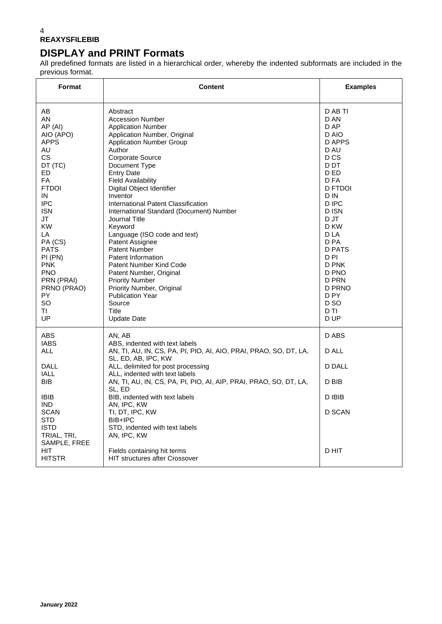## **DISPLAY and PRINT Formats**

All predefined formats are listed in a hierarchical order, whereby the indented subformats are included in the previous format.

| Format                                                                                                                                                                                                                                                                     | <b>Content</b>                                                                                                                                                                                                                                                                                                                                                                                                                                                                                                                                                                                                                                                          | <b>Examples</b>                                                                                                                                                                                                                                                      |
|----------------------------------------------------------------------------------------------------------------------------------------------------------------------------------------------------------------------------------------------------------------------------|-------------------------------------------------------------------------------------------------------------------------------------------------------------------------------------------------------------------------------------------------------------------------------------------------------------------------------------------------------------------------------------------------------------------------------------------------------------------------------------------------------------------------------------------------------------------------------------------------------------------------------------------------------------------------|----------------------------------------------------------------------------------------------------------------------------------------------------------------------------------------------------------------------------------------------------------------------|
| AB<br>AN<br>AP (AI)<br>AIO (APO)<br><b>APPS</b><br>AU<br>CS.<br>DT (TC)<br>ED.<br>FA<br><b>FTDOI</b><br>IN<br><b>IPC</b><br><b>ISN</b><br>JT<br><b>KW</b><br>LA<br>PA (CS)<br><b>PATS</b><br>PI (PN)<br>PNK<br>PNO.<br>PRN (PRAI)<br>PRNO (PRAO)<br>PY.<br>SO.<br>TL<br>UP | Abstract<br><b>Accession Number</b><br><b>Application Number</b><br>Application Number, Original<br><b>Application Number Group</b><br>Author<br><b>Corporate Source</b><br>Document Type<br><b>Entry Date</b><br><b>Field Availability</b><br>Digital Object Identifier<br>Inventor<br>International Patent Classification<br>International Standard (Document) Number<br>Journal Title<br>Keyword<br>Language (ISO code and text)<br>Patent Assignee<br><b>Patent Number</b><br>Patent Information<br>Patent Number Kind Code<br>Patent Number, Original<br><b>Priority Number</b><br>Priority Number, Original<br>Publication Year<br>Source<br>Title<br>Update Date | D AB TI<br>D AN<br>D AP<br>D AIO<br>D APPS<br>D AU<br>D <sub>CS</sub><br>D DT<br>D ED<br>D FA<br>D FTDOI<br>D IN<br>D IPC<br>D ISN<br>D JT<br>D KW<br>D LA<br>D PA<br>D PATS<br>D PI<br>D PNK<br>D PNO<br>D PRN<br>D PRNO<br>D PY<br>D <sub>SO</sub><br>D TI<br>D UP |
| ABS<br><b>IABS</b><br><b>ALL</b><br><b>DALL</b><br><b>IALL</b><br>BIB.<br><b>IBIB</b><br>IND.<br><b>SCAN</b><br>STD.                                                                                                                                                       | AN, AB<br>ABS, indented with text labels<br>AN, TI, AU, IN, CS, PA, PI, PIO, AI, AIO, PRAI, PRAO, SO, DT, LA,<br>SL, ED, AB, IPC, KW<br>ALL, delimited for post processing<br>ALL, indented with text labels<br>AN, TI, AU, IN, CS, PA, PI, PIO, AI, AIP, PRAI, PRAO, SO, DT, LA,<br>SL. ED<br>BIB, indented with text labels<br>AN, IPC, KW<br>TI, DT, IPC, KW<br>BIB+IPC                                                                                                                                                                                                                                                                                              | D ABS<br>D ALL<br>D DALL<br>D BIB<br>D IBIB<br><b>D SCAN</b>                                                                                                                                                                                                         |
| <b>ISTD</b><br>TRIAL, TRI,<br>SAMPLE, FREE<br><b>HIT</b><br><b>HITSTR</b>                                                                                                                                                                                                  | STD, indented with text labels<br>AN, IPC, KW<br>Fields containing hit terms<br><b>HIT structures after Crossover</b>                                                                                                                                                                                                                                                                                                                                                                                                                                                                                                                                                   | D HIT                                                                                                                                                                                                                                                                |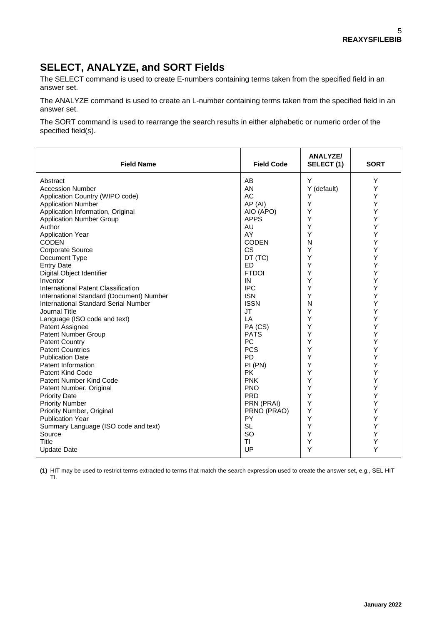### **SELECT, ANALYZE, and SORT Fields**

The SELECT command is used to create E-numbers containing terms taken from the specified field in an answer set.

The ANALYZE command is used to create an L-number containing terms taken from the specified field in an answer set.

The SORT command is used to rearrange the search results in either alphabetic or numeric order of the specified field(s).

| <b>Field Name</b>                           | <b>Field Code</b> | ANALYZE/<br>SELECT (1) | <b>SORT</b> |
|---------------------------------------------|-------------------|------------------------|-------------|
| Abstract                                    | AB                | Y                      | Y           |
| <b>Accession Number</b>                     | AN                | Y (default)            | Υ           |
| Application Country (WIPO code)             | AC                | Y                      | Υ           |
| <b>Application Number</b>                   | AP (AI)           | Υ                      | Y           |
| Application Information, Original           | AIO (APO)         | Y                      | Y           |
| <b>Application Number Group</b>             | <b>APPS</b>       | Y                      | Υ           |
| Author                                      | AU                | Y                      | Υ           |
| <b>Application Year</b>                     | AY                | Y                      | Υ           |
| <b>CODEN</b>                                | <b>CODEN</b>      | N                      | Υ           |
| Corporate Source                            | <b>CS</b>         | Υ                      | Υ           |
| Document Type                               | DT (TC)           | Υ                      | Y           |
| <b>Entry Date</b>                           | <b>ED</b>         | Υ                      | Y           |
| Digital Object Identifier                   | <b>FTDOI</b>      | Y                      | Y           |
| Inventor                                    | IN                | Y                      | Υ           |
| International Patent Classification         | <b>IPC</b>        | Y                      | Y           |
| International Standard (Document) Number    | <b>ISN</b>        | Υ                      | Υ           |
| <b>International Standard Serial Number</b> | <b>ISSN</b>       | N                      | Υ           |
| Journal Title                               | <b>JT</b>         | Υ                      | Υ           |
| Language (ISO code and text)                | LA                | Υ                      | Y           |
| Patent Assignee                             | PA (CS)           | Y                      | Y           |
| Patent Number Group                         | <b>PATS</b>       | Y                      | Υ           |
| <b>Patent Country</b>                       | PC                | Y                      | Υ           |
| <b>Patent Countries</b>                     | <b>PCS</b>        | Υ                      | Υ           |
| <b>Publication Date</b>                     | <b>PD</b>         | Υ                      | Υ           |
| Patent Information                          | PI (PN)           | Y                      | Υ           |
| <b>Patent Kind Code</b>                     | <b>PK</b>         | Y                      | Y           |
| Patent Number Kind Code                     | <b>PNK</b>        | Υ                      | Y           |
| Patent Number, Original                     | <b>PNO</b>        | Y                      | Y           |
| <b>Priority Date</b>                        | <b>PRD</b>        | Y                      | Υ           |
| <b>Priority Number</b>                      | PRN (PRAI)        | Υ                      | Y           |
| Priority Number, Original                   | PRNO (PRAO)       | Υ                      | Υ           |
| <b>Publication Year</b>                     | PY                | Υ                      | Υ           |
| Summary Language (ISO code and text)        | <b>SL</b>         | Υ                      | Υ           |
| Source                                      | <b>SO</b>         | Υ                      | Y           |
| Title                                       | TI                | Υ                      | Υ           |
| <b>Update Date</b>                          | UP                | Υ                      | Y           |

**(1)** HIT may be used to restrict terms extracted to terms that match the search expression used to create the answer set, e.g., SEL HIT TI.